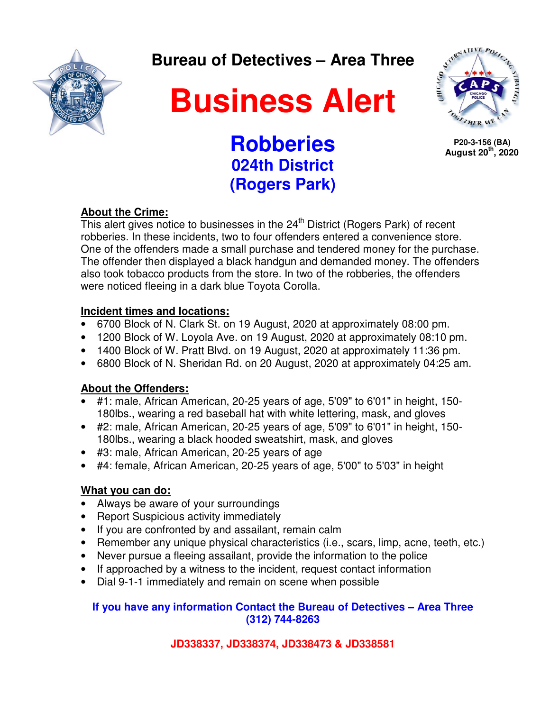

**Bureau of Detectives – Area Three** 

# **Business Alert**



 **P20-3-156 (BA) August 20th, 2020**

### **Robberies 024th District (Rogers Park)**

#### **About the Crime:**

This alert gives notice to businesses in the  $24<sup>th</sup>$  District (Rogers Park) of recent robberies. In these incidents, two to four offenders entered a convenience store. One of the offenders made a small purchase and tendered money for the purchase. The offender then displayed a black handgun and demanded money. The offenders also took tobacco products from the store. In two of the robberies, the offenders were noticed fleeing in a dark blue Toyota Corolla.

#### **Incident times and locations:**

- 6700 Block of N. Clark St. on 19 August, 2020 at approximately 08:00 pm.
- 1200 Block of W. Loyola Ave. on 19 August, 2020 at approximately 08:10 pm.
- 1400 Block of W. Pratt Blvd. on 19 August, 2020 at approximately 11:36 pm.
- 6800 Block of N. Sheridan Rd. on 20 August, 2020 at approximately 04:25 am.

#### **About the Offenders:**

- #1: male, African American, 20-25 years of age, 5'09" to 6'01" in height, 150- 180lbs., wearing a red baseball hat with white lettering, mask, and gloves
- #2: male, African American, 20-25 years of age, 5'09" to 6'01" in height, 150- 180lbs., wearing a black hooded sweatshirt, mask, and gloves
- #3: male, African American, 20-25 years of age
- #4: female, African American, 20-25 years of age, 5'00" to 5'03" in height

#### **What you can do:**

- Always be aware of your surroundings
- Report Suspicious activity immediately
- If you are confronted by and assailant, remain calm
- Remember any unique physical characteristics (i.e., scars, limp, acne, teeth, etc.)
- Never pursue a fleeing assailant, provide the information to the police
- If approached by a witness to the incident, request contact information
- Dial 9-1-1 immediately and remain on scene when possible

#### **If you have any information Contact the Bureau of Detectives – Area Three (312) 744-8263**

#### **JD338337, JD338374, JD338473 & JD338581**